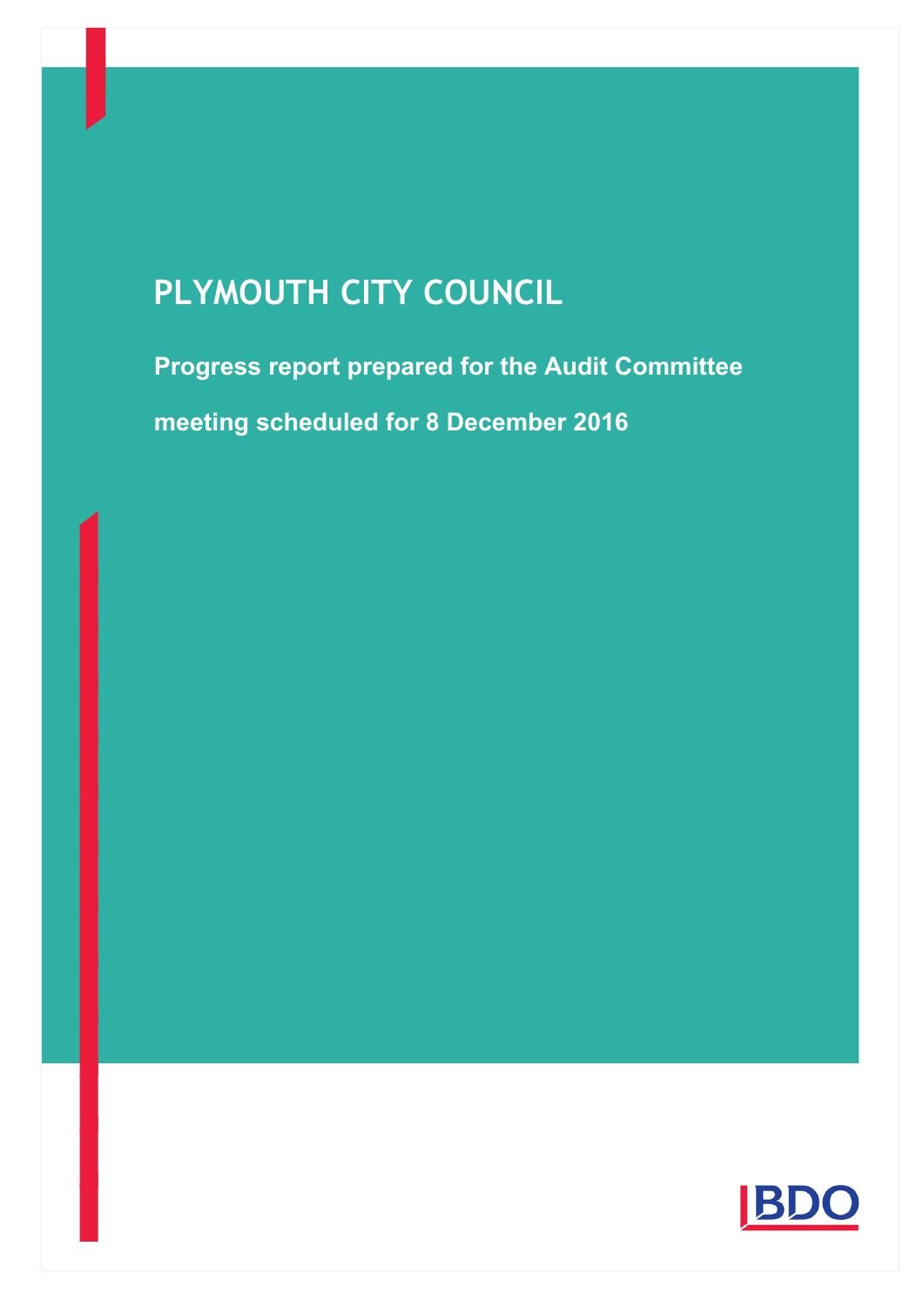# **PLYMOUTH CITY COUNCIL**

**Progress report prepared for the Audit Committee meeting scheduled for 8 December 2016**

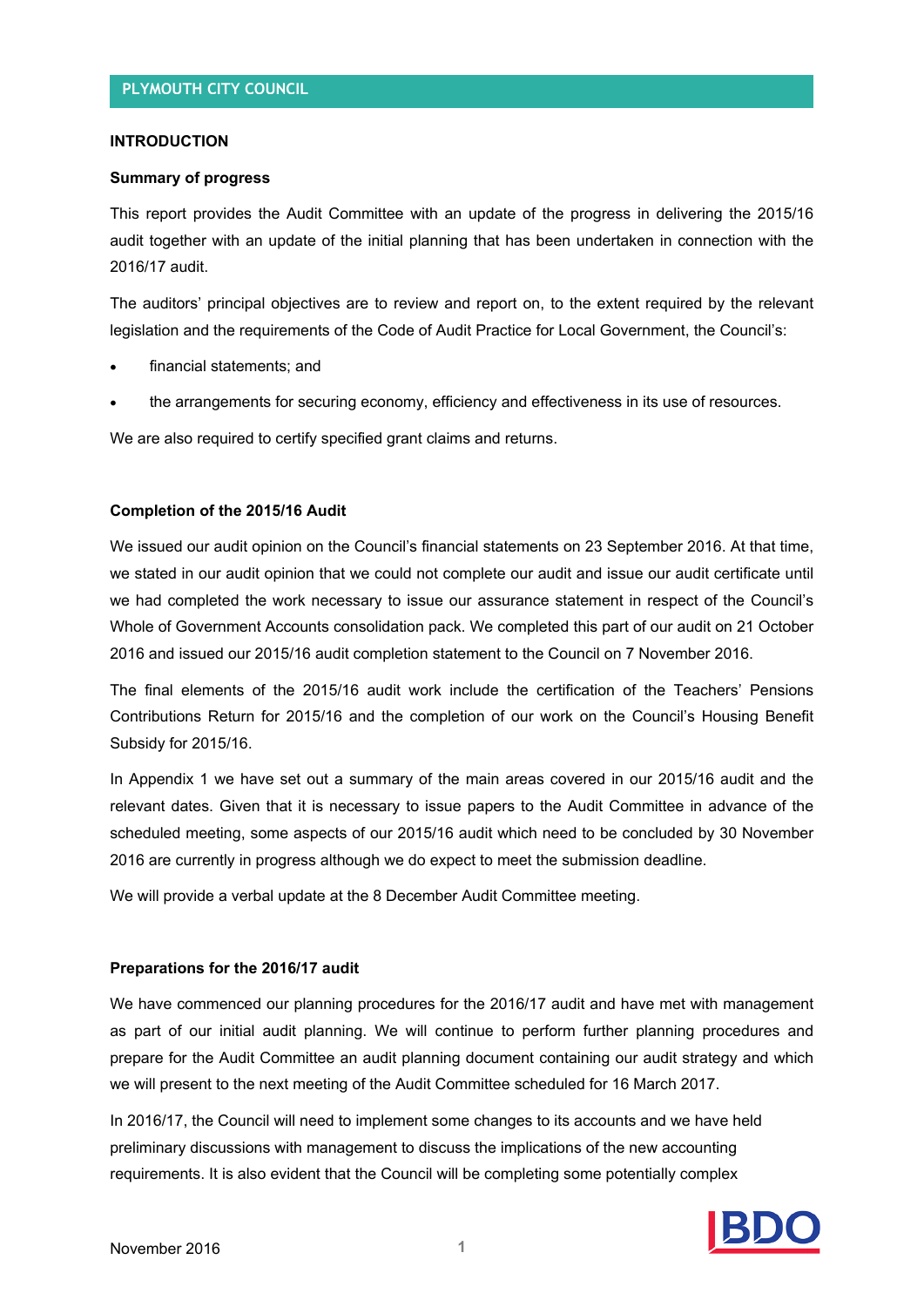#### **INTRODUCTION**

#### **Summary of progress**

This report provides the Audit Committee with an update of the progress in delivering the 2015/16 audit together with an update of the initial planning that has been undertaken in connection with the 2016/17 audit.

The auditors' principal objectives are to review and report on, to the extent required by the relevant legislation and the requirements of the Code of Audit Practice for Local Government, the Council's:

- financial statements; and
- the arrangements for securing economy, efficiency and effectiveness in its use of resources.

We are also required to certify specified grant claims and returns.

#### **Completion of the 2015/16 Audit**

We issued our audit opinion on the Council's financial statements on 23 September 2016. At that time, we stated in our audit opinion that we could not complete our audit and issue our audit certificate until we had completed the work necessary to issue our assurance statement in respect of the Council's Whole of Government Accounts consolidation pack. We completed this part of our audit on 21 October 2016 and issued our 2015/16 audit completion statement to the Council on 7 November 2016.

The final elements of the 2015/16 audit work include the certification of the Teachers' Pensions Contributions Return for 2015/16 and the completion of our work on the Council's Housing Benefit Subsidy for 2015/16.

In Appendix 1 we have set out a summary of the main areas covered in our 2015/16 audit and the relevant dates. Given that it is necessary to issue papers to the Audit Committee in advance of the scheduled meeting, some aspects of our 2015/16 audit which need to be concluded by 30 November 2016 are currently in progress although we do expect to meet the submission deadline.

We will provide a verbal update at the 8 December Audit Committee meeting.

#### **Preparations for the 2016/17 audit**

We have commenced our planning procedures for the 2016/17 audit and have met with management as part of our initial audit planning. We will continue to perform further planning procedures and prepare for the Audit Committee an audit planning document containing our audit strategy and which we will present to the next meeting of the Audit Committee scheduled for 16 March 2017.

In 2016/17, the Council will need to implement some changes to its accounts and we have held preliminary discussions with management to discuss the implications of the new accounting requirements. It is also evident that the Council will be completing some potentially complex

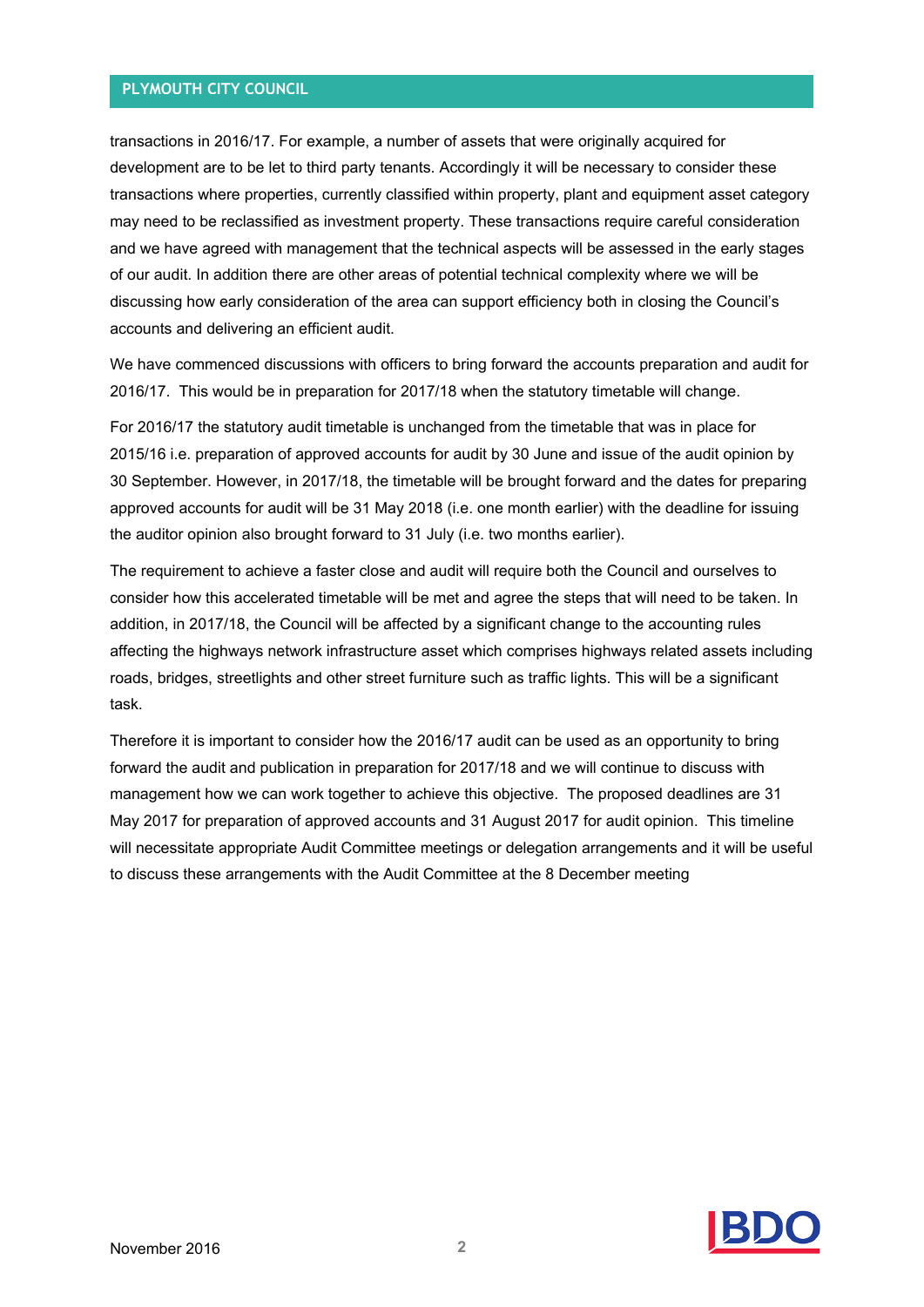#### **PLYMOUTH CITY COUNCIL**

transactions in 2016/17. For example, a number of assets that were originally acquired for development are to be let to third party tenants. Accordingly it will be necessary to consider these transactions where properties, currently classified within property, plant and equipment asset category may need to be reclassified as investment property. These transactions require careful consideration and we have agreed with management that the technical aspects will be assessed in the early stages of our audit. In addition there are other areas of potential technical complexity where we will be discussing how early consideration of the area can support efficiency both in closing the Council's accounts and delivering an efficient audit.

We have commenced discussions with officers to bring forward the accounts preparation and audit for 2016/17. This would be in preparation for 2017/18 when the statutory timetable will change.

For 2016/17 the statutory audit timetable is unchanged from the timetable that was in place for 2015/16 i.e. preparation of approved accounts for audit by 30 June and issue of the audit opinion by 30 September. However, in 2017/18, the timetable will be brought forward and the dates for preparing approved accounts for audit will be 31 May 2018 (i.e. one month earlier) with the deadline for issuing the auditor opinion also brought forward to 31 July (i.e. two months earlier).

The requirement to achieve a faster close and audit will require both the Council and ourselves to consider how this accelerated timetable will be met and agree the steps that will need to be taken. In addition, in 2017/18, the Council will be affected by a significant change to the accounting rules affecting the highways network infrastructure asset which comprises highways related assets including roads, bridges, streetlights and other street furniture such as traffic lights. This will be a significant task.

Therefore it is important to consider how the 2016/17 audit can be used as an opportunity to bring forward the audit and publication in preparation for 2017/18 and we will continue to discuss with management how we can work together to achieve this objective. The proposed deadlines are 31 May 2017 for preparation of approved accounts and 31 August 2017 for audit opinion. This timeline will necessitate appropriate Audit Committee meetings or delegation arrangements and it will be useful to discuss these arrangements with the Audit Committee at the 8 December meeting

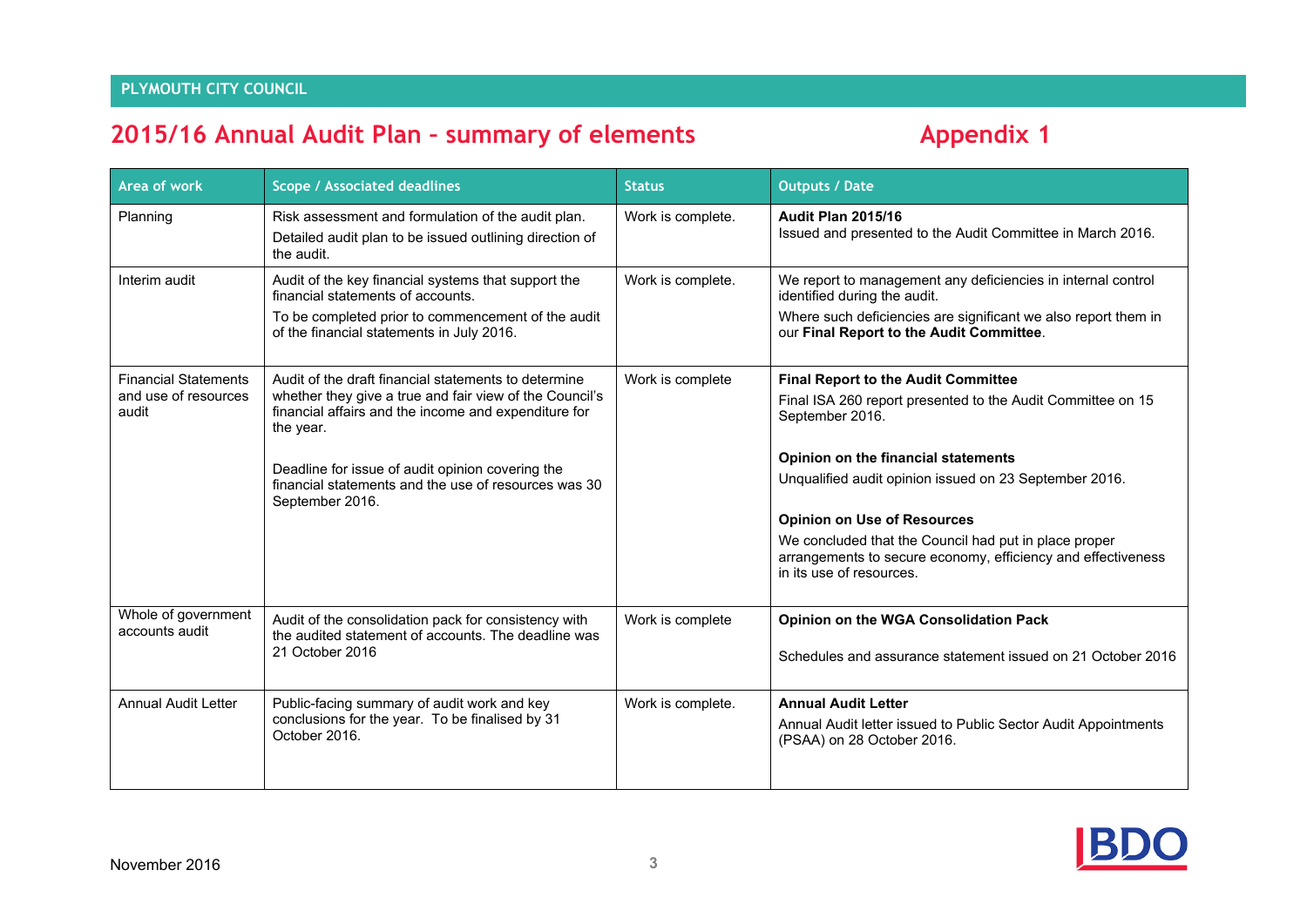## **2015/16 Annual Audit Plan – summary of elements Appendix 1**

| <b>Area of work</b>                                          | <b>Scope / Associated deadlines</b>                                                                                                                                                                                                                                                                                 | <b>Status</b>     | <b>Outputs / Date</b>                                                                                                                                                                                                                                                                                                                                                                                                    |
|--------------------------------------------------------------|---------------------------------------------------------------------------------------------------------------------------------------------------------------------------------------------------------------------------------------------------------------------------------------------------------------------|-------------------|--------------------------------------------------------------------------------------------------------------------------------------------------------------------------------------------------------------------------------------------------------------------------------------------------------------------------------------------------------------------------------------------------------------------------|
| Planning                                                     | Risk assessment and formulation of the audit plan.<br>Detailed audit plan to be issued outlining direction of<br>the audit.                                                                                                                                                                                         | Work is complete. | <b>Audit Plan 2015/16</b><br>Issued and presented to the Audit Committee in March 2016.                                                                                                                                                                                                                                                                                                                                  |
| Interim audit                                                | Audit of the key financial systems that support the<br>financial statements of accounts.<br>To be completed prior to commencement of the audit<br>of the financial statements in July 2016.                                                                                                                         | Work is complete. | We report to management any deficiencies in internal control<br>identified during the audit.<br>Where such deficiencies are significant we also report them in<br>our Final Report to the Audit Committee.                                                                                                                                                                                                               |
| <b>Financial Statements</b><br>and use of resources<br>audit | Audit of the draft financial statements to determine<br>whether they give a true and fair view of the Council's<br>financial affairs and the income and expenditure for<br>the year.<br>Deadline for issue of audit opinion covering the<br>financial statements and the use of resources was 30<br>September 2016. | Work is complete  | <b>Final Report to the Audit Committee</b><br>Final ISA 260 report presented to the Audit Committee on 15<br>September 2016.<br>Opinion on the financial statements<br>Unqualified audit opinion issued on 23 September 2016.<br><b>Opinion on Use of Resources</b><br>We concluded that the Council had put in place proper<br>arrangements to secure economy, efficiency and effectiveness<br>in its use of resources. |
| Whole of government<br>accounts audit                        | Audit of the consolidation pack for consistency with<br>the audited statement of accounts. The deadline was<br>21 October 2016                                                                                                                                                                                      | Work is complete  | Opinion on the WGA Consolidation Pack<br>Schedules and assurance statement issued on 21 October 2016                                                                                                                                                                                                                                                                                                                     |
| <b>Annual Audit Letter</b>                                   | Public-facing summary of audit work and key<br>conclusions for the year. To be finalised by 31<br>October 2016.                                                                                                                                                                                                     | Work is complete. | <b>Annual Audit Letter</b><br>Annual Audit letter issued to Public Sector Audit Appointments<br>(PSAA) on 28 October 2016.                                                                                                                                                                                                                                                                                               |

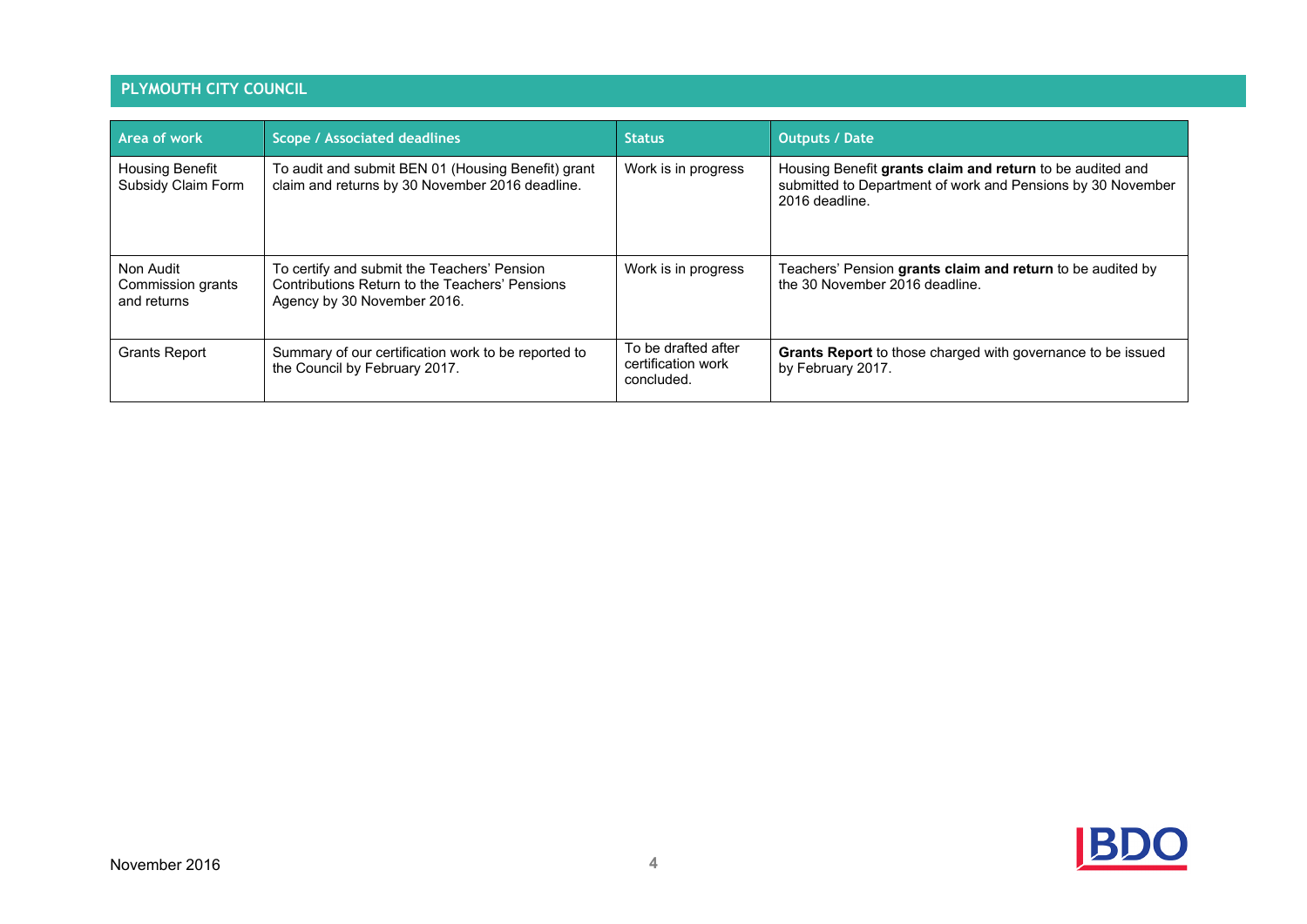### **PLYMOUTH CITY COUNCIL**

| Area of work                                  | <b>Scope / Associated deadlines</b>                                                                                          | <b>Status</b>                                           | <b>Outputs / Date</b>                                                                                                                      |
|-----------------------------------------------|------------------------------------------------------------------------------------------------------------------------------|---------------------------------------------------------|--------------------------------------------------------------------------------------------------------------------------------------------|
| <b>Housing Benefit</b><br>Subsidy Claim Form  | To audit and submit BEN 01 (Housing Benefit) grant<br>claim and returns by 30 November 2016 deadline.                        | Work is in progress                                     | Housing Benefit grants claim and return to be audited and<br>submitted to Department of work and Pensions by 30 November<br>2016 deadline. |
| Non Audit<br>Commission grants<br>and returns | To certify and submit the Teachers' Pension<br>Contributions Return to the Teachers' Pensions<br>Agency by 30 November 2016. | Work is in progress                                     | Teachers' Pension grants claim and return to be audited by<br>the 30 November 2016 deadline.                                               |
| <b>Grants Report</b>                          | Summary of our certification work to be reported to<br>the Council by February 2017.                                         | To be drafted after<br>certification work<br>concluded. | Grants Report to those charged with governance to be issued<br>by February 2017.                                                           |